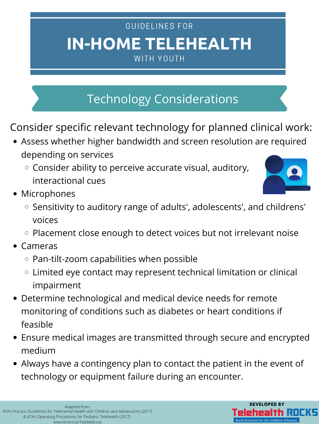- Assess whether higher bandwidth and screen resolution are required depending on services
	- $\circ$  Consider ability to perceive accurate visual, auditory, interactional cues
- Microphones
	- $\circ$  Sensitivity to auditory range of adults', adolescents', and childrens' voices



- $\circ$  Placement close enough to detect voices but not irrelevant noise
- Cameras
	- $\circ$  Pan-tilt-zoom capabilities when possible
	- Limited eye contact may represent technical limitation or clinical  $\bigcirc$ impairment
- Determine technological and medical device needs for remote monitoring of conditions such as diabetes or heart conditions if feasible
- Ensure medical images are transmitted through secure and encrypted medium
- Always have a contingency plan to contact the patient in the event of technology or equipment failure during an encounter.

# **IN-HOME TELEHEALTH** GUIDELINES FOR WITH YOUTH

Consider specific relevant technology for planned clinical work:



# Technology Considerations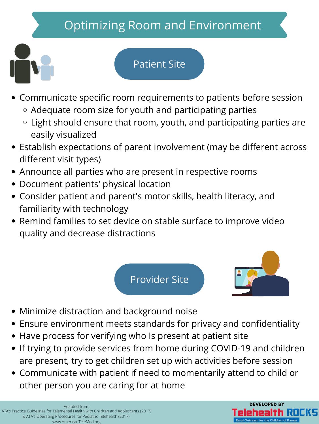# Optimizing Room and Environment



- Communicate specific room requirements to patients before session
	- Adequate room size for youth and participating parties
	- $\circ$  Light should ensure that room, youth, and participating parties are easily visualized
- Establish expectations of parent involvement (may be different across different visit types)
- Announce all parties who are present in respective rooms
- Document patients' physical location
- Consider patient and parent's motor skills, health literacy, and familiarity with technology
- Remind families to set device on stable surface to improve video quality and decrease distractions

- Minimize distraction and background noise
- Ensure environment meets standards for privacy and confidentiality
- Have process for verifying who Is present at patient site
- If trying to provide services from home during COVID-19 and children are present, try to get children set up with activities before session
- Communicate with patient if need to momentarily attend to child or other person you are caring for at home

#### Patient Site

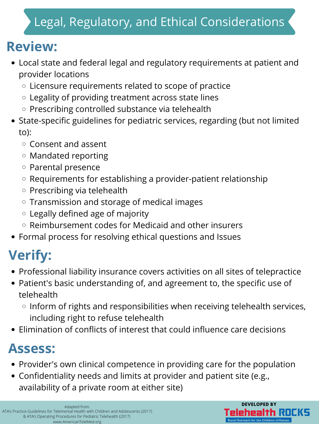# Legal, Regulatory, and Ethical Considerations

- Local state and federal legal and regulatory requirements at patient and provider locations
	- Licensure requirements related to scope of practice
	- Legality of providing treatment across state lines
	- $\circ$  Prescribing controlled substance via telehealth
- State-specific guidelines for pediatric services, regarding (but not limited to):
	- $\circ$  Consent and assent
	- Mandated reporting
	- Parental presence
	- $\circ$  Requirements for establishing a provider-patient relationship
	- $\circ$  Prescribing via telehealth
	- $\circ$  Transmission and storage of medical images
	- Legally defined age of majority
	- Reimbursement codes for Medicaid and other insurers
- Formal process for resolving ethical questions and Issues

- Professional liability insurance covers activities on all sites of telepractice
- Patient's basic understanding of, and agreement to, the specific use of telehealth
	- $\circ$  Inform of rights and responsibilities when receiving telehealth services, including right to refuse telehealth
- Elimination of conflicts of interest that could influence care decisions

- Provider's own clinical competence in providing care for the population
- Confidentiality needs and limits at provider and patient site (e.g., availability of a private room at either site)

# **Review:**

# **Verify:**

## **Assess:**